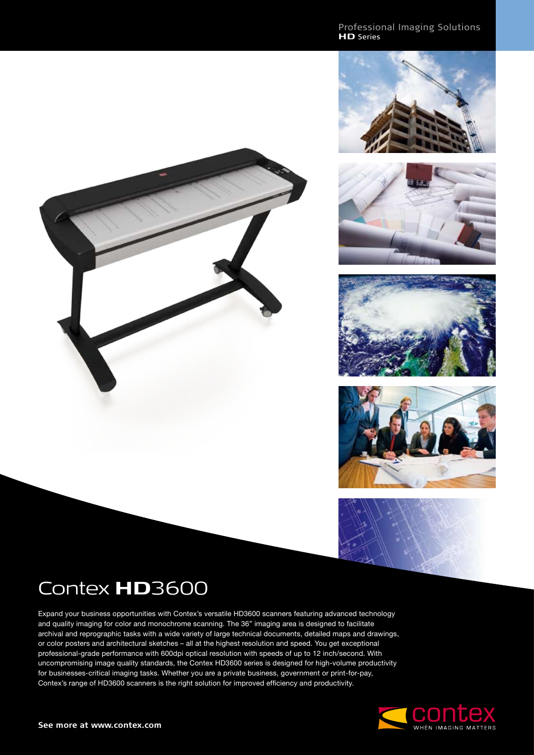Professional Imaging Solutions **HD** Series











## Contex **HD**3600

Expand your business opportunities with Contex's versatile HD3600 scanners featuring advanced technology and quality imaging for color and monochrome scanning. The 36" imaging area is designed to facilitate archival and reprographic tasks with a wide variety of large technical documents, detailed maps and drawings, or color posters and architectural sketches – all at the highest resolution and speed. You get exceptional professional-grade performance with 600dpi optical resolution with speeds of up to 12 inch/second. With uncompromising image quality standards, the Contex HD3600 series is designed for high-volume productivity for businesses-critical imaging tasks. Whether you are a private business, government or print-for-pay, Contex's range of HD3600 scanners is the right solution for improved efficiency and productivity.